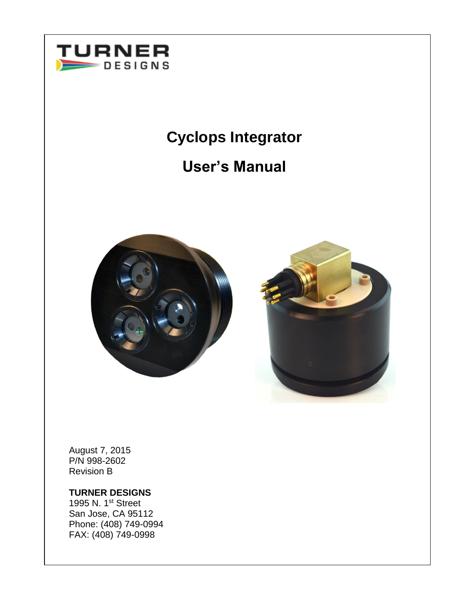

# **Cyclops Integrator**

# **User's Manual**





August 7, 2015 P/N 998-2602 Revision B

## **TURNER DESIGNS**

1995 N. 1st Street San Jose, CA 95112 Phone: (408) 749-0994 FAX: (408) 749-0998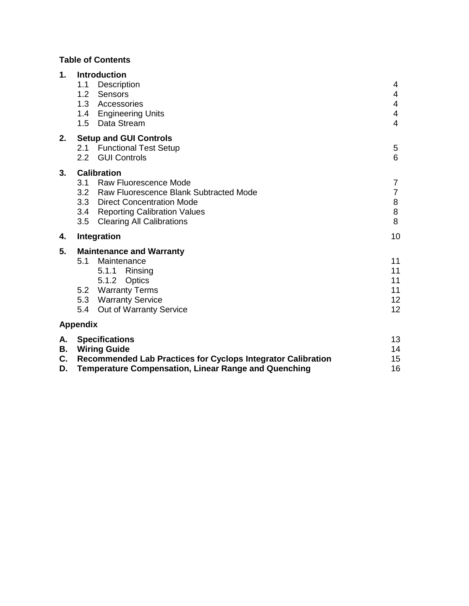# **Table of Contents**

| 1.                   | <b>Introduction</b><br>1.1<br>Description<br>1.2<br>Sensors<br>1.3<br>Accessories<br>1.4 Engineering Units<br>Data Stream<br>1.5                                                                                           | 4<br>$\overline{4}$<br>4<br>4<br>$\overline{4}$ |
|----------------------|----------------------------------------------------------------------------------------------------------------------------------------------------------------------------------------------------------------------------|-------------------------------------------------|
| 2.                   | <b>Setup and GUI Controls</b><br><b>Functional Test Setup</b><br>2.1<br><b>GUI Controls</b><br>$2.2^{\circ}$                                                                                                               | 5<br>6                                          |
| 3.                   | <b>Calibration</b><br>3.1<br>Raw Fluorescence Mode<br>3.2 Raw Fluorescence Blank Subtracted Mode<br>3.3 Direct Concentration Mode<br>3.4<br><b>Reporting Calibration Values</b><br>3.5<br><b>Clearing All Calibrations</b> | $\overline{7}$<br>$\overline{7}$<br>8<br>8<br>8 |
| 4.                   | Integration                                                                                                                                                                                                                | 10                                              |
| 5.                   | <b>Maintenance and Warranty</b><br>5.1<br>Maintenance<br>5.1.1<br>Rinsing<br>5.1.2 Optics<br><b>Warranty Terms</b><br>5.2<br>5.3 Warranty Service<br><b>Out of Warranty Service</b><br>5.4                                 | 11<br>11<br>11<br>11<br>12<br>12                |
|                      | <b>Appendix</b>                                                                                                                                                                                                            |                                                 |
| Α.<br>В.<br>C.<br>D. | <b>Specifications</b><br><b>Wiring Guide</b><br><b>Recommended Lab Practices for Cyclops Integrator Calibration</b><br><b>Temperature Compensation, Linear Range and Quenching</b>                                         | 13<br>14<br>15<br>16                            |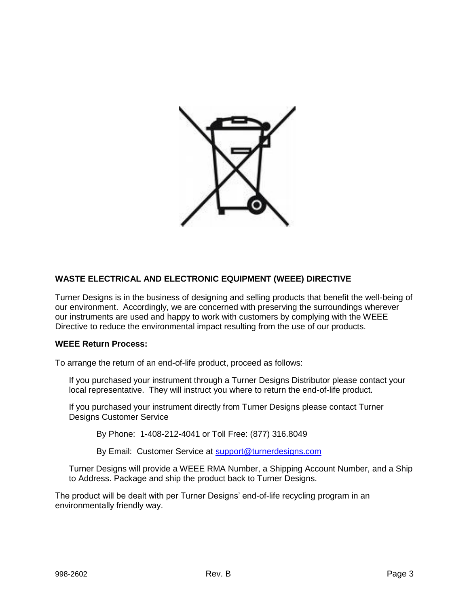

## **WASTE ELECTRICAL AND ELECTRONIC EQUIPMENT (WEEE) DIRECTIVE**

Turner Designs is in the business of designing and selling products that benefit the well-being of our environment. Accordingly, we are concerned with preserving the surroundings wherever our instruments are used and happy to work with customers by complying with the WEEE Directive to reduce the environmental impact resulting from the use of our products.

#### **WEEE Return Process:**

To arrange the return of an end-of-life product, proceed as follows:

If you purchased your instrument through a Turner Designs Distributor please contact your local representative. They will instruct you where to return the end-of-life product.

If you purchased your instrument directly from Turner Designs please contact Turner Designs Customer Service

By Phone: 1-408-212-4041 or Toll Free: (877) 316.8049

By Email: Customer Service at [support@turnerdesigns.com](mailto:support@turnerdesigns.com)

Turner Designs will provide a WEEE RMA Number, a Shipping Account Number, and a Ship to Address. Package and ship the product back to Turner Designs.

The product will be dealt with per Turner Designs' end-of-life recycling program in an environmentally friendly way.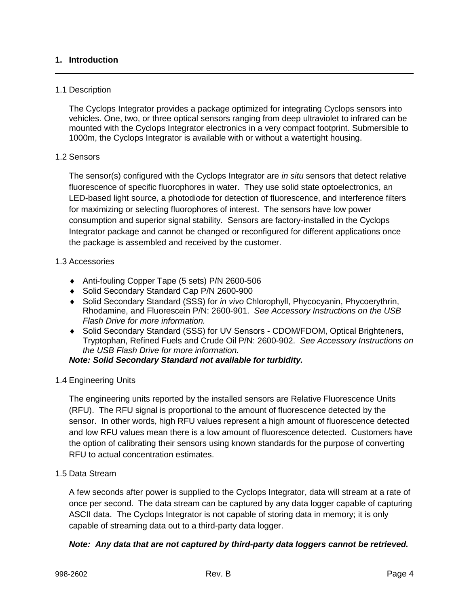## **1. Introduction**

### 1.1 Description

The Cyclops Integrator provides a package optimized for integrating Cyclops sensors into vehicles. One, two, or three optical sensors ranging from deep ultraviolet to infrared can be mounted with the Cyclops Integrator electronics in a very compact footprint. Submersible to 1000m, the Cyclops Integrator is available with or without a watertight housing.

#### 1.2 Sensors

The sensor(s) configured with the Cyclops Integrator are *in situ* sensors that detect relative fluorescence of specific fluorophores in water. They use solid state optoelectronics, an LED-based light source, a photodiode for detection of fluorescence, and interference filters for maximizing or selecting fluorophores of interest. The sensors have low power consumption and superior signal stability. Sensors are factory-installed in the Cyclops Integrator package and cannot be changed or reconfigured for different applications once the package is assembled and received by the customer.

#### 1.3 Accessories

- ◆ Anti-fouling Copper Tape (5 sets) P/N 2600-506
- ◆ Solid Secondary Standard Cap P/N 2600-900
- Solid Secondary Standard (SSS) for *in vivo* Chlorophyll, Phycocyanin, Phycoerythrin, Rhodamine, and Fluorescein P/N: 2600-901. *See Accessory Instructions on the USB Flash Drive for more information.*
- Solid Secondary Standard (SSS) for UV Sensors CDOM/FDOM, Optical Brighteners, Tryptophan, Refined Fuels and Crude Oil P/N: 2600-902. *See Accessory Instructions on the USB Flash Drive for more information.*

### *Note: Solid Secondary Standard not available for turbidity.*

1.4 Engineering Units

The engineering units reported by the installed sensors are Relative Fluorescence Units (RFU). The RFU signal is proportional to the amount of fluorescence detected by the sensor. In other words, high RFU values represent a high amount of fluorescence detected and low RFU values mean there is a low amount of fluorescence detected. Customers have the option of calibrating their sensors using known standards for the purpose of converting RFU to actual concentration estimates.

1.5 Data Stream

A few seconds after power is supplied to the Cyclops Integrator, data will stream at a rate of once per second. The data stream can be captured by any data logger capable of capturing ASCII data. The Cyclops Integrator is not capable of storing data in memory; it is only capable of streaming data out to a third-party data logger.

### *Note: Any data that are not captured by third-party data loggers cannot be retrieved.*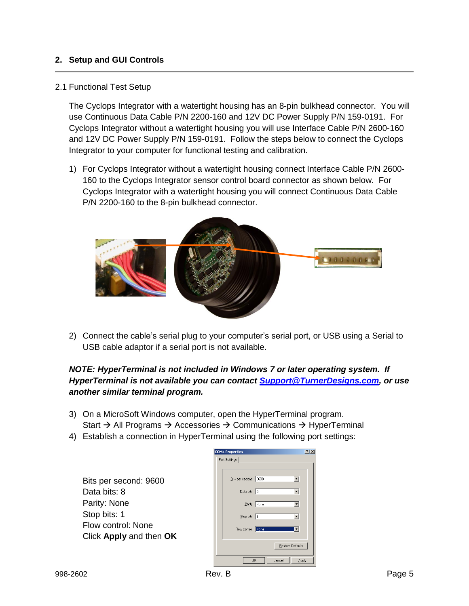## **2. Setup and GUI Controls**

#### 2.1 Functional Test Setup

The Cyclops Integrator with a watertight housing has an 8-pin bulkhead connector. You will use Continuous Data Cable P/N 2200-160 and 12V DC Power Supply P/N 159-0191. For Cyclops Integrator without a watertight housing you will use Interface Cable P/N 2600-160 and 12V DC Power Supply P/N 159-0191. Follow the steps below to connect the Cyclops Integrator to your computer for functional testing and calibration.

1) For Cyclops Integrator without a watertight housing connect Interface Cable P/N 2600- 160 to the Cyclops Integrator sensor control board connector as shown below. For Cyclops Integrator with a watertight housing you will connect Continuous Data Cable P/N 2200-160 to the 8-pin bulkhead connector.



2) Connect the cable's serial plug to your computer's serial port, or USB using a Serial to USB cable adaptor if a serial port is not available.

## *NOTE: HyperTerminal is not included in Windows 7 or later operating system. If HyperTerminal is not available you can contact [Support@TurnerDesigns.com,](file:///C:/Users/Kathleen/Documents/Redlines/998-2602%20CI%20Manual/Support@TurnerDesigns.com) or use another similar terminal program.*

- 3) On a MicroSoft Windows computer, open the HyperTerminal program. Start  $\rightarrow$  All Programs  $\rightarrow$  Accessories  $\rightarrow$  Communications  $\rightarrow$  HyperTerminal
- 4) Establish a connection in HyperTerminal using the following port settings:

|                                               | Port Settings         |
|-----------------------------------------------|-----------------------|
| Bits per second: 9600                         | Bits per second: 9600 |
| Data bits: 8                                  | Data bits: 8          |
| Parity: None                                  | Parity: None          |
| Stop bits: 1                                  | Stop bits:  1         |
| Flow control: None<br>Click Apply and then OK | Elow control: None    |
|                                               | B <sub>1</sub>        |
|                                               | <b>OK</b><br>Cance    |

**COM4 Properties** 

 $|?|X|$ 

 $\overline{\phantom{a}}$  $\overline{\phantom{a}}$  $\overline{\phantom{a}}$  $\overline{\mathbf{r}}$ т

tore Defaults

Apply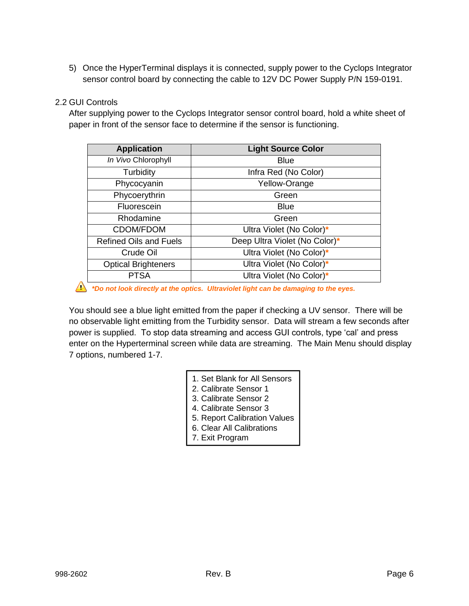5) Once the HyperTerminal displays it is connected, supply power to the Cyclops Integrator sensor control board by connecting the cable to 12V DC Power Supply P/N 159-0191.

## 2.2 GUI Controls

After supplying power to the Cyclops Integrator sensor control board, hold a white sheet of paper in front of the sensor face to determine if the sensor is functioning.

| <b>Application</b>            | <b>Light Source Color</b>     |
|-------------------------------|-------------------------------|
| In Vivo Chlorophyll           | <b>Blue</b>                   |
| Turbidity                     | Infra Red (No Color)          |
| Phycocyanin                   | Yellow-Orange                 |
| Phycoerythrin                 | Green                         |
| Fluorescein                   | <b>Blue</b>                   |
| Rhodamine                     | Green                         |
| <b>CDOM/FDOM</b>              | Ultra Violet (No Color)*      |
| <b>Refined Oils and Fuels</b> | Deep Ultra Violet (No Color)* |
| Crude Oil                     | Ultra Violet (No Color)*      |
| <b>Optical Brighteners</b>    | Ultra Violet (No Color)*      |
| <b>PTSA</b>                   | Ultra Violet (No Color)*      |

*\*Do not look directly at the optics. Ultraviolet light can be damaging to the eyes.*

You should see a blue light emitted from the paper if checking a UV sensor. There will be no observable light emitting from the Turbidity sensor. Data will stream a few seconds after power is supplied. To stop data streaming and access GUI controls, type 'cal' and press enter on the Hyperterminal screen while data are streaming. The Main Menu should display 7 options, numbered 1-7.

- 1. Set Blank for All Sensors
- 2. Calibrate Sensor 1
- 3. Calibrate Sensor 2
- 4. Calibrate Sensor 3
- 5. Report Calibration Values
- 6. Clear All Calibrations
- 7. Exit Program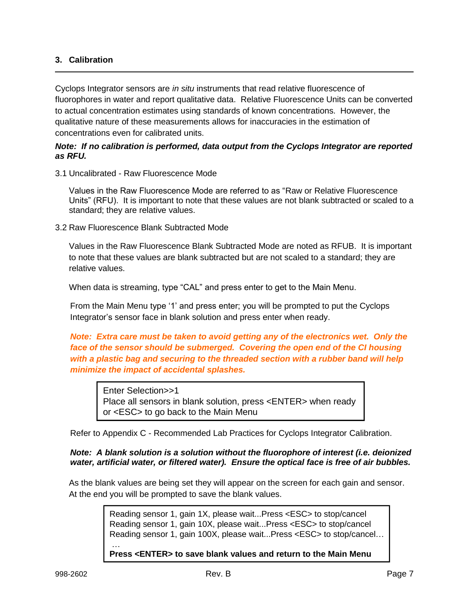## **3. Calibration**

Cyclops Integrator sensors are *in situ* instruments that read relative fluorescence of fluorophores in water and report qualitative data. Relative Fluorescence Units can be converted to actual concentration estimates using standards of known concentrations. However, the qualitative nature of these measurements allows for inaccuracies in the estimation of concentrations even for calibrated units.

### *Note: If no calibration is performed, data output from the Cyclops Integrator are reported as RFU.*

3.1 Uncalibrated - Raw Fluorescence Mode

Values in the Raw Fluorescence Mode are referred to as "Raw or Relative Fluorescence Units" (RFU). It is important to note that these values are not blank subtracted or scaled to a standard; they are relative values.

3.2 Raw Fluorescence Blank Subtracted Mode

Values in the Raw Fluorescence Blank Subtracted Mode are noted as RFUB. It is important to note that these values are blank subtracted but are not scaled to a standard; they are relative values.

When data is streaming, type "CAL" and press enter to get to the Main Menu.

From the Main Menu type '1' and press enter; you will be prompted to put the Cyclops Integrator's sensor face in blank solution and press enter when ready.

*Note: Extra care must be taken to avoid getting any of the electronics wet. Only the face of the sensor should be submerged. Covering the open end of the CI housing with a plastic bag and securing to the threaded section with a rubber band will help minimize the impact of accidental splashes.*

Enter Selection>>1 Place all sensors in blank solution, press <ENTER> when ready or <ESC> to go back to the Main Menu

Refer to Appendix C - Recommended Lab Practices for Cyclops Integrator Calibration.

### *Note: A blank solution is a solution without the fluorophore of interest (i.e. deionized water, artificial water, or filtered water). Ensure the optical face is free of air bubbles.*

As the blank values are being set they will appear on the screen for each gain and sensor. At the end you will be prompted to save the blank values.

> Reading sensor 1, gain 1X, please wait...Press <ESC> to stop/cancel Reading sensor 1, gain 10X, please wait...Press <ESC> to stop/cancel Reading sensor 1, gain 100X, please wait...Press <ESC> to stop/cancel…

**Press <ENTER> to save blank values and return to the Main Menu** 

…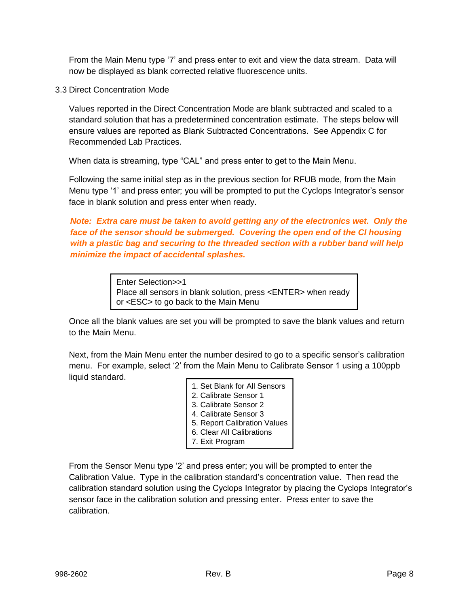From the Main Menu type '7' and press enter to exit and view the data stream. Data will now be displayed as blank corrected relative fluorescence units.

3.3 Direct Concentration Mode

Values reported in the Direct Concentration Mode are blank subtracted and scaled to a standard solution that has a predetermined concentration estimate. The steps below will ensure values are reported as Blank Subtracted Concentrations. See Appendix C for Recommended Lab Practices.

When data is streaming, type "CAL" and press enter to get to the Main Menu.

Following the same initial step as in the previous section for RFUB mode, from the Main Menu type '1' and press enter; you will be prompted to put the Cyclops Integrator's sensor face in blank solution and press enter when ready.

*Note: Extra care must be taken to avoid getting any of the electronics wet. Only the face of the sensor should be submerged. Covering the open end of the CI housing with a plastic bag and securing to the threaded section with a rubber band will help minimize the impact of accidental splashes.*

> Enter Selection>>1 Place all sensors in blank solution, press <ENTER> when ready or <ESC> to go back to the Main Menu

Once all the blank values are set you will be prompted to save the blank values and return to the Main Menu.

Next, from the Main Menu enter the number desired to go to a specific sensor's calibration menu. For example, select '2' from the Main Menu to Calibrate Sensor 1 using a 100ppb liquid standard.

| 1. Set Blank for All Sensors |  |
|------------------------------|--|
|------------------------------|--|

- 2. Calibrate Sensor 1
- 3. Calibrate Sensor 2
- 4. Calibrate Sensor 3
- 5. Report Calibration Values
- 6. Clear All Calibrations
- 7. Exit Program

From the Sensor Menu type '2' and press enter; you will be prompted to enter the Calibration Value. Type in the calibration standard's concentration value. Then read the calibration standard solution using the Cyclops Integrator by placing the Cyclops Integrator's sensor face in the calibration solution and pressing enter. Press enter to save the calibration.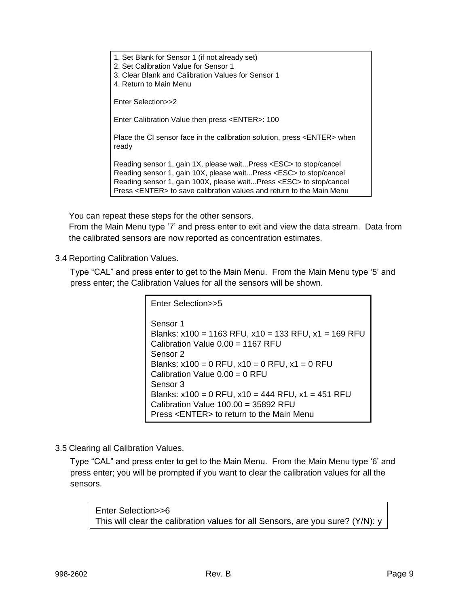1. Set Blank for Sensor 1 (if not already set) 2. Set Calibration Value for Sensor 1 3. Clear Blank and Calibration Values for Sensor 1 4. Return to Main Menu Enter Selection>>2 Enter Calibration Value then press <ENTER>: 100 Place the CI sensor face in the calibration solution, press <ENTER> when ready Reading sensor 1, gain 1X, please wait...Press <ESC> to stop/cancel Reading sensor 1, gain 10X, please wait...Press <ESC> to stop/cancel Reading sensor 1, gain 100X, please wait...Press <ESC> to stop/cancel Press <ENTER> to save calibration values and return to the Main Menu

You can repeat these steps for the other sensors.

From the Main Menu type '7' and press enter to exit and view the data stream. Data from the calibrated sensors are now reported as concentration estimates.

3.4 Reporting Calibration Values.

Type "CAL" and press enter to get to the Main Menu. From the Main Menu type '5' and press enter; the Calibration Values for all the sensors will be shown.

> Enter Selection>>5 Sensor 1 Blanks: x100 = 1163 RFU, x10 = 133 RFU, x1 = 169 RFU Calibration Value  $0.00 = 1167$  RFU Sensor 2 Blanks:  $x100 = 0$  RFU,  $x10 = 0$  RFU,  $x1 = 0$  RFU Calibration Value  $0.00 = 0$  RFU Sensor 3 Blanks:  $x100 = 0$  RFU,  $x10 = 444$  RFU,  $x1 = 451$  RFU Calibration Value  $100.00 = 35892$  RFU Press <ENTER> to return to the Main Menu

3.5 Clearing all Calibration Values.

Type "CAL" and press enter to get to the Main Menu. From the Main Menu type '6' and press enter; you will be prompted if you want to clear the calibration values for all the sensors.

Enter Selection>>6 This will clear the calibration values for all Sensors, are you sure? (Y/N): y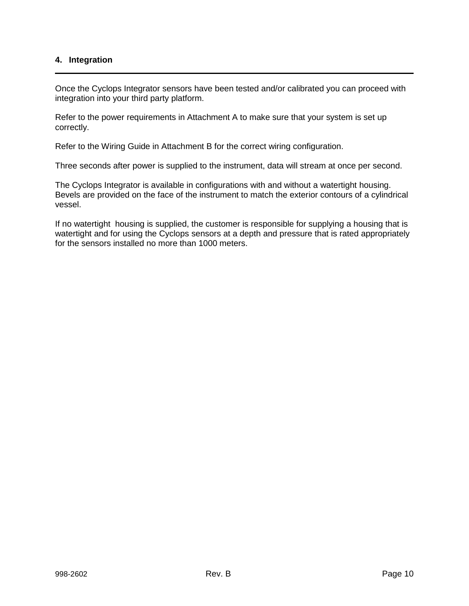### **4. Integration**

Once the Cyclops Integrator sensors have been tested and/or calibrated you can proceed with integration into your third party platform.

Refer to the power requirements in Attachment A to make sure that your system is set up correctly.

Refer to the Wiring Guide in Attachment B for the correct wiring configuration.

Three seconds after power is supplied to the instrument, data will stream at once per second.

The Cyclops Integrator is available in configurations with and without a watertight housing. Bevels are provided on the face of the instrument to match the exterior contours of a cylindrical vessel.

If no watertight housing is supplied, the customer is responsible for supplying a housing that is watertight and for using the Cyclops sensors at a depth and pressure that is rated appropriately for the sensors installed no more than 1000 meters.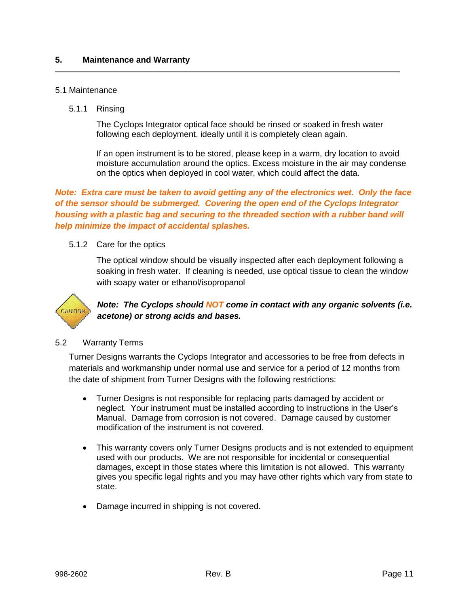#### 5.1 Maintenance

5.1.1 Rinsing

The Cyclops Integrator optical face should be rinsed or soaked in fresh water following each deployment, ideally until it is completely clean again.

If an open instrument is to be stored, please keep in a warm, dry location to avoid moisture accumulation around the optics. Excess moisture in the air may condense on the optics when deployed in cool water, which could affect the data.

*Note: Extra care must be taken to avoid getting any of the electronics wet. Only the face of the sensor should be submerged. Covering the open end of the Cyclops Integrator housing with a plastic bag and securing to the threaded section with a rubber band will help minimize the impact of accidental splashes.*

5.1.2 Care for the optics

The optical window should be visually inspected after each deployment following a soaking in fresh water. If cleaning is needed, use optical tissue to clean the window with soapy water or ethanol/isopropanol



*Note: The Cyclops should NOT come in contact with any organic solvents (i.e. acetone) or strong acids and bases.*

#### 5.2 Warranty Terms

Turner Designs warrants the Cyclops Integrator and accessories to be free from defects in materials and workmanship under normal use and service for a period of 12 months from the date of shipment from Turner Designs with the following restrictions:

- Turner Designs is not responsible for replacing parts damaged by accident or neglect. Your instrument must be installed according to instructions in the User's Manual. Damage from corrosion is not covered. Damage caused by customer modification of the instrument is not covered.
- This warranty covers only Turner Designs products and is not extended to equipment used with our products. We are not responsible for incidental or consequential damages, except in those states where this limitation is not allowed. This warranty gives you specific legal rights and you may have other rights which vary from state to state.
- Damage incurred in shipping is not covered.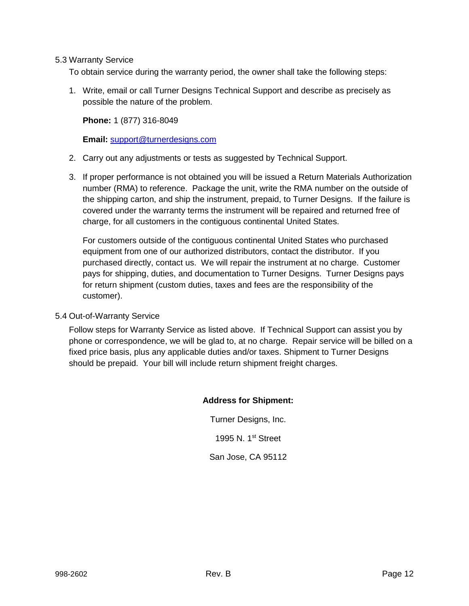5.3 Warranty Service

To obtain service during the warranty period, the owner shall take the following steps:

1. Write, email or call Turner Designs Technical Support and describe as precisely as possible the nature of the problem.

**Phone:** 1 (877) 316-8049

**Email:** [support@turnerdesigns.com](mailto:support@turnerdesigns.com)

- 2. Carry out any adjustments or tests as suggested by Technical Support.
- 3. If proper performance is not obtained you will be issued a Return Materials Authorization number (RMA) to reference. Package the unit, write the RMA number on the outside of the shipping carton, and ship the instrument, prepaid, to Turner Designs. If the failure is covered under the warranty terms the instrument will be repaired and returned free of charge, for all customers in the contiguous continental United States.

For customers outside of the contiguous continental United States who purchased equipment from one of our authorized distributors, contact the distributor. If you purchased directly, contact us. We will repair the instrument at no charge. Customer pays for shipping, duties, and documentation to Turner Designs. Turner Designs pays for return shipment (custom duties, taxes and fees are the responsibility of the customer).

5.4 Out-of-Warranty Service

Follow steps for Warranty Service as listed above. If Technical Support can assist you by phone or correspondence, we will be glad to, at no charge. Repair service will be billed on a fixed price basis, plus any applicable duties and/or taxes. Shipment to Turner Designs should be prepaid. Your bill will include return shipment freight charges.

#### **Address for Shipment:**

Turner Designs, Inc. 1995 N. 1<sup>st</sup> Street San Jose, CA 95112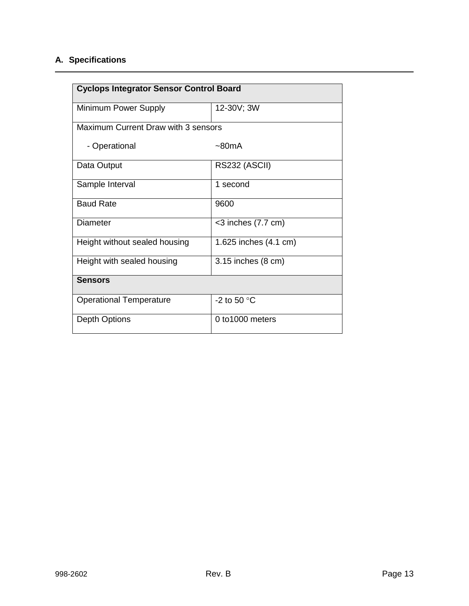# **A. Specifications**

| <b>Cyclops Integrator Sensor Control Board</b> |                       |  |  |
|------------------------------------------------|-----------------------|--|--|
| Minimum Power Supply                           | 12-30V; 3W            |  |  |
| Maximum Current Draw with 3 sensors            |                       |  |  |
| - Operational                                  | $~\sim$ 80mA          |  |  |
| Data Output                                    | RS232 (ASCII)         |  |  |
| Sample Interval                                | 1 second              |  |  |
| <b>Baud Rate</b>                               | 9600                  |  |  |
| Diameter                                       | $<$ 3 inches (7.7 cm) |  |  |
| Height without sealed housing                  | 1.625 inches (4.1 cm) |  |  |
| Height with sealed housing                     | 3.15 inches (8 cm)    |  |  |
| <b>Sensors</b>                                 |                       |  |  |
| <b>Operational Temperature</b>                 | -2 to 50 $^{\circ}$ C |  |  |
| Depth Options                                  | 0 to 1000 meters      |  |  |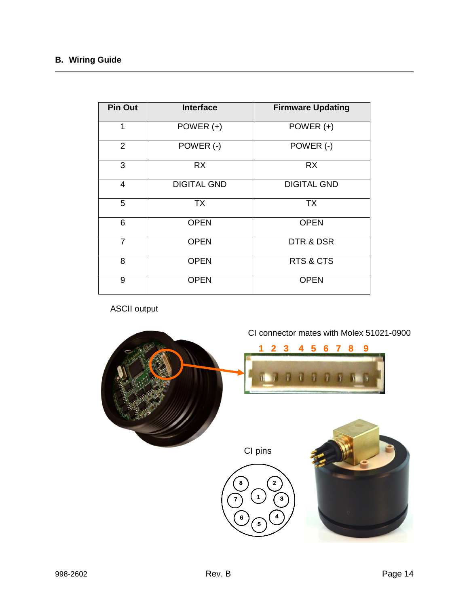# **B. Wiring Guide**

| <b>Pin Out</b> | <b>Interface</b>   | <b>Firmware Updating</b> |
|----------------|--------------------|--------------------------|
| 1              | POWER $(+)$        | POWER $(+)$              |
| 2              | POWER (-)          | POWER (-)                |
| 3              | <b>RX</b>          | <b>RX</b>                |
| $\overline{4}$ | <b>DIGITAL GND</b> | <b>DIGITAL GND</b>       |
| 5              | <b>TX</b>          | <b>TX</b>                |
| 6              | <b>OPEN</b>        | <b>OPEN</b>              |
| $\overline{7}$ | <b>OPEN</b>        | DTR & DSR                |
| 8              | <b>OPEN</b>        | RTS & CTS                |
| 9              | <b>OPEN</b>        | <b>OPEN</b>              |

ASCII output

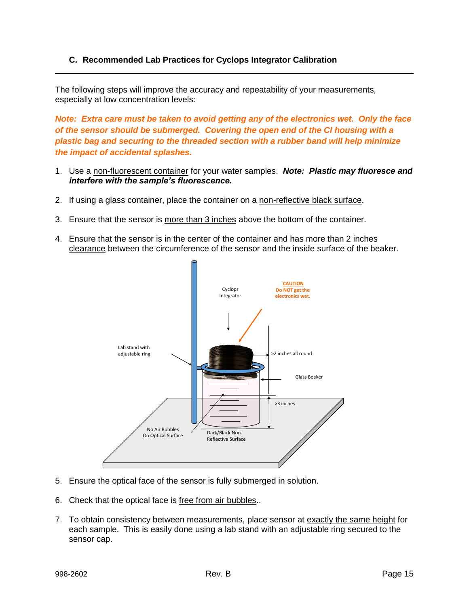## **C. Recommended Lab Practices for Cyclops Integrator Calibration**

The following steps will improve the accuracy and repeatability of your measurements, especially at low concentration levels:

*Note: Extra care must be taken to avoid getting any of the electronics wet. Only the face of the sensor should be submerged. Covering the open end of the CI housing with a plastic bag and securing to the threaded section with a rubber band will help minimize the impact of accidental splashes.*

- 1. Use a non-fluorescent container for your water samples. *Note: Plastic may fluoresce and interfere with the sample's fluorescence.*
- 2. If using a glass container, place the container on a non-reflective black surface.
- 3. Ensure that the sensor is more than 3 inches above the bottom of the container.
- 4. Ensure that the sensor is in the center of the container and has more than 2 inches clearance between the circumference of the sensor and the inside surface of the beaker.



- 5. Ensure the optical face of the sensor is fully submerged in solution.
- 6. Check that the optical face is free from air bubbles..
- 7. To obtain consistency between measurements, place sensor at exactly the same height for each sample. This is easily done using a lab stand with an adjustable ring secured to the sensor cap.